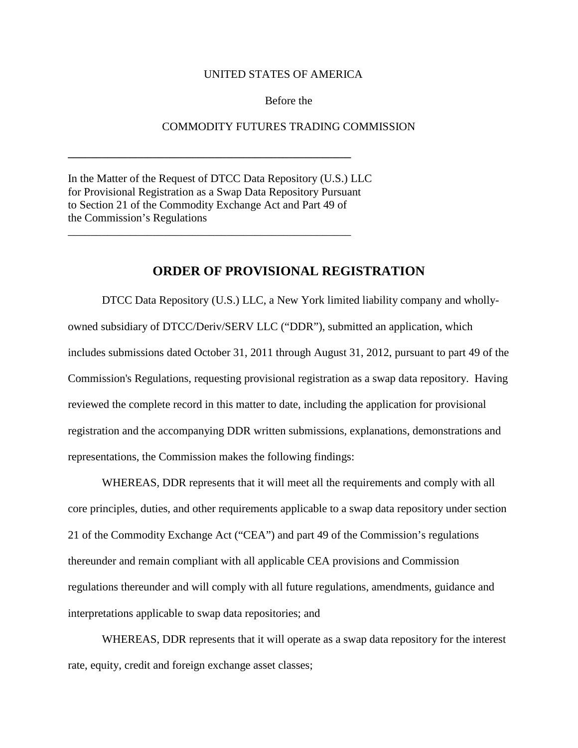## UNITED STATES OF AMERICA

## Before the

## COMMODITY FUTURES TRADING COMMISSION

In the Matter of the Request of DTCC Data Repository (U.S.) LLC for Provisional Registration as a Swap Data Repository Pursuant to Section 21 of the Commodity Exchange Act and Part 49 of the Commission's Regulations

**\_\_\_\_\_\_\_\_\_\_\_\_\_\_\_\_\_\_\_\_\_\_\_\_\_\_\_\_\_\_\_\_\_\_\_\_\_\_\_\_\_\_\_\_\_\_\_\_\_\_**

\_\_\_\_\_\_\_\_\_\_\_\_\_\_\_\_\_\_\_\_\_\_\_\_\_\_\_\_\_\_\_\_\_\_\_\_\_\_\_\_\_\_\_\_\_\_\_\_\_\_

## **ORDER OF PROVISIONAL REGISTRATION**

DTCC Data Repository (U.S.) LLC, a New York limited liability company and whollyowned subsidiary of DTCC/Deriv/SERV LLC ("DDR"), submitted an application, which includes submissions dated October 31, 2011 through August 31, 2012, pursuant to part 49 of the Commission's Regulations, requesting provisional registration as a swap data repository. Having reviewed the complete record in this matter to date, including the application for provisional registration and the accompanying DDR written submissions, explanations, demonstrations and representations, the Commission makes the following findings:

WHEREAS, DDR represents that it will meet all the requirements and comply with all core principles, duties, and other requirements applicable to a swap data repository under section 21 of the Commodity Exchange Act ("CEA") and part 49 of the Commission's regulations thereunder and remain compliant with all applicable CEA provisions and Commission regulations thereunder and will comply with all future regulations, amendments, guidance and interpretations applicable to swap data repositories; and

WHEREAS, DDR represents that it will operate as a swap data repository for the interest rate, equity, credit and foreign exchange asset classes;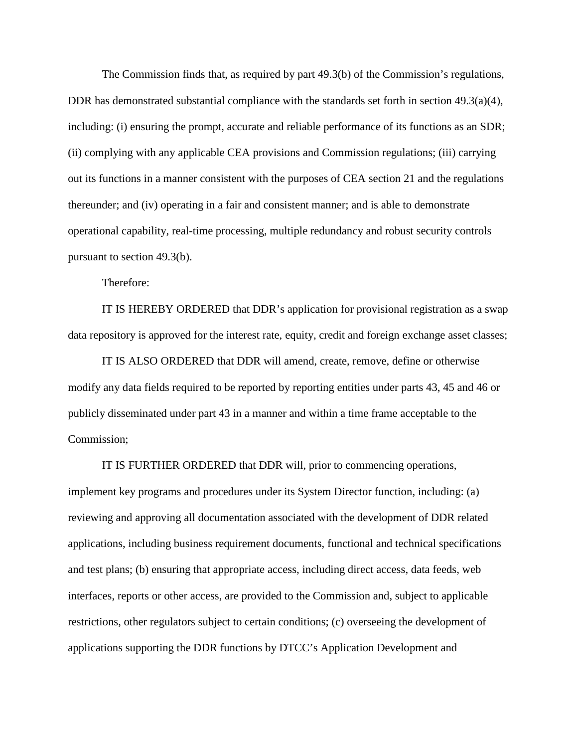The Commission finds that, as required by part 49.3(b) of the Commission's regulations, DDR has demonstrated substantial compliance with the standards set forth in section  $49.3(a)(4)$ , including: (i) ensuring the prompt, accurate and reliable performance of its functions as an SDR; (ii) complying with any applicable CEA provisions and Commission regulations; (iii) carrying out its functions in a manner consistent with the purposes of CEA section 21 and the regulations thereunder; and (iv) operating in a fair and consistent manner; and is able to demonstrate operational capability, real-time processing, multiple redundancy and robust security controls pursuant to section 49.3(b).

Therefore:

IT IS HEREBY ORDERED that DDR's application for provisional registration as a swap data repository is approved for the interest rate, equity, credit and foreign exchange asset classes;

IT IS ALSO ORDERED that DDR will amend, create, remove, define or otherwise modify any data fields required to be reported by reporting entities under parts 43, 45 and 46 or publicly disseminated under part 43 in a manner and within a time frame acceptable to the Commission;

IT IS FURTHER ORDERED that DDR will, prior to commencing operations, implement key programs and procedures under its System Director function, including: (a) reviewing and approving all documentation associated with the development of DDR related applications, including business requirement documents, functional and technical specifications and test plans; (b) ensuring that appropriate access, including direct access, data feeds, web interfaces, reports or other access, are provided to the Commission and, subject to applicable restrictions, other regulators subject to certain conditions; (c) overseeing the development of applications supporting the DDR functions by DTCC's Application Development and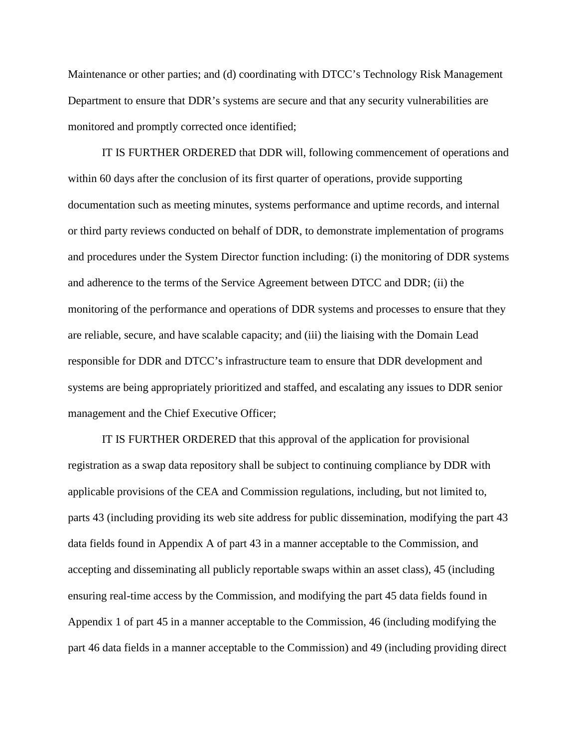Maintenance or other parties; and (d) coordinating with DTCC's Technology Risk Management Department to ensure that DDR's systems are secure and that any security vulnerabilities are monitored and promptly corrected once identified;

IT IS FURTHER ORDERED that DDR will, following commencement of operations and within 60 days after the conclusion of its first quarter of operations, provide supporting documentation such as meeting minutes, systems performance and uptime records, and internal or third party reviews conducted on behalf of DDR, to demonstrate implementation of programs and procedures under the System Director function including: (i) the monitoring of DDR systems and adherence to the terms of the Service Agreement between DTCC and DDR; (ii) the monitoring of the performance and operations of DDR systems and processes to ensure that they are reliable, secure, and have scalable capacity; and (iii) the liaising with the Domain Lead responsible for DDR and DTCC's infrastructure team to ensure that DDR development and systems are being appropriately prioritized and staffed, and escalating any issues to DDR senior management and the Chief Executive Officer;

IT IS FURTHER ORDERED that this approval of the application for provisional registration as a swap data repository shall be subject to continuing compliance by DDR with applicable provisions of the CEA and Commission regulations, including, but not limited to, parts 43 (including providing its web site address for public dissemination, modifying the part 43 data fields found in Appendix A of part 43 in a manner acceptable to the Commission, and accepting and disseminating all publicly reportable swaps within an asset class), 45 (including ensuring real-time access by the Commission, and modifying the part 45 data fields found in Appendix 1 of part 45 in a manner acceptable to the Commission, 46 (including modifying the part 46 data fields in a manner acceptable to the Commission) and 49 (including providing direct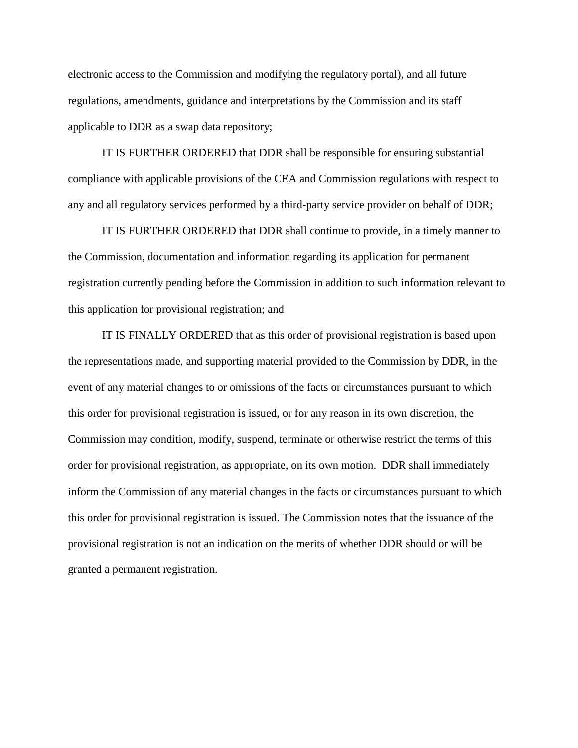electronic access to the Commission and modifying the regulatory portal), and all future regulations, amendments, guidance and interpretations by the Commission and its staff applicable to DDR as a swap data repository;

IT IS FURTHER ORDERED that DDR shall be responsible for ensuring substantial compliance with applicable provisions of the CEA and Commission regulations with respect to any and all regulatory services performed by a third-party service provider on behalf of DDR;

IT IS FURTHER ORDERED that DDR shall continue to provide, in a timely manner to the Commission, documentation and information regarding its application for permanent registration currently pending before the Commission in addition to such information relevant to this application for provisional registration; and

IT IS FINALLY ORDERED that as this order of provisional registration is based upon the representations made, and supporting material provided to the Commission by DDR, in the event of any material changes to or omissions of the facts or circumstances pursuant to which this order for provisional registration is issued, or for any reason in its own discretion, the Commission may condition, modify, suspend, terminate or otherwise restrict the terms of this order for provisional registration, as appropriate, on its own motion. DDR shall immediately inform the Commission of any material changes in the facts or circumstances pursuant to which this order for provisional registration is issued. The Commission notes that the issuance of the provisional registration is not an indication on the merits of whether DDR should or will be granted a permanent registration.